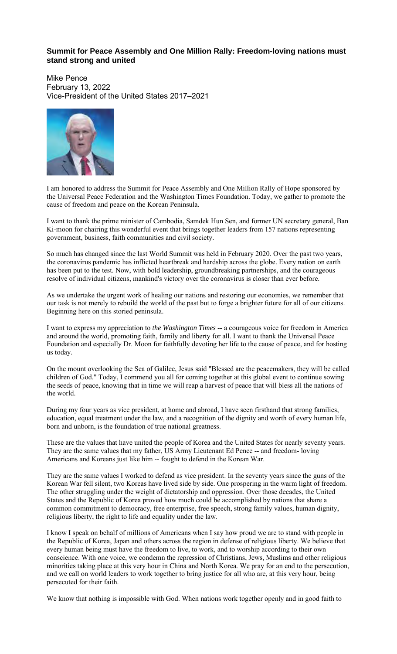## **Summit for Peace Assembly and One Million Rally: Freedom-loving nations must stand strong and united**

Mike Pence February 13, 2022 Vice-President of the United States 2017–2021



I am honored to address the Summit for Peace Assembly and One Million Rally of Hope sponsored by the Universal Peace Federation and the Washington Times Foundation. Today, we gather to promote the cause of freedom and peace on the Korean Peninsula.

I want to thank the prime minister of Cambodia, Samdek Hun Sen, and former UN secretary general, Ban Ki-moon for chairing this wonderful event that brings together leaders from 157 nations representing government, business, faith communities and civil society.

So much has changed since the last World Summit was held in February 2020. Over the past two years, the coronavirus pandemic has inflicted heartbreak and hardship across the globe. Every nation on earth has been put to the test. Now, with bold leadership, groundbreaking partnerships, and the courageous resolve of individual citizens, mankind's victory over the coronavirus is closer than ever before.

As we undertake the urgent work of healing our nations and restoring our economies, we remember that our task is not merely to rebuild the world of the past but to forge a brighter future for all of our citizens. Beginning here on this storied peninsula.

I want to express my appreciation to *the Washington Times* -- a courageous voice for freedom in America and around the world, promoting faith, family and liberty for all. I want to thank the Universal Peace Foundation and especially Dr. Moon for faithfully devoting her life to the cause of peace, and for hosting us today.

On the mount overlooking the Sea of Galilee, Jesus said "Blessed are the peacemakers, they will be called children of God." Today, I commend you all for coming together at this global event to continue sowing the seeds of peace, knowing that in time we will reap a harvest of peace that will bless all the nations of the world.

During my four years as vice president, at home and abroad, I have seen firsthand that strong families, education, equal treatment under the law, and a recognition of the dignity and worth of every human life, born and unborn, is the foundation of true national greatness.

These are the values that have united the people of Korea and the United States for nearly seventy years. They are the same values that my father, US Army Lieutenant Ed Pence -- and freedom- loving Americans and Koreans just like him -- fought to defend in the Korean War.

They are the same values I worked to defend as vice president. In the seventy years since the guns of the Korean War fell silent, two Koreas have lived side by side. One prospering in the warm light of freedom. The other struggling under the weight of dictatorship and oppression. Over those decades, the United States and the Republic of Korea proved how much could be accomplished by nations that share a common commitment to democracy, free enterprise, free speech, strong family values, human dignity, religious liberty, the right to life and equality under the law.

I know I speak on behalf of millions of Americans when I say how proud we are to stand with people in the Republic of Korea, Japan and others across the region in defense of religious liberty. We believe that every human being must have the freedom to live, to work, and to worship according to their own conscience. With one voice, we condemn the repression of Christians, Jews, Muslims and other religious minorities taking place at this very hour in China and North Korea. We pray for an end to the persecution, and we call on world leaders to work together to bring justice for all who are, at this very hour, being persecuted for their faith.

We know that nothing is impossible with God. When nations work together openly and in good faith to